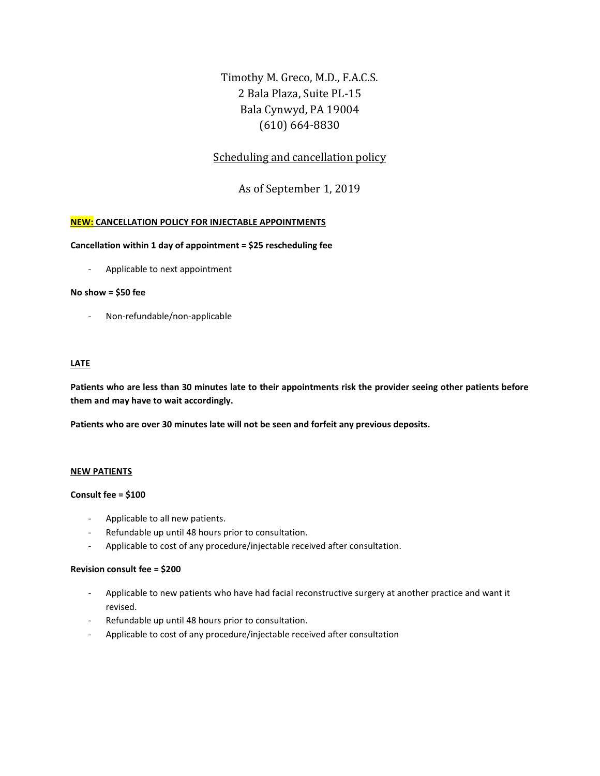Timothy M. Greco, M.D., F.A.C.S. 2 Bala Plaza, Suite PL-15 Bala Cynwyd, PA 19004 (610) 664-8830

# Scheduling and cancellation policy

As of September 1, 2019

# **NEW: CANCELLATION POLICY FOR INJECTABLE APPOINTMENTS**

# **Cancellation within 1 day of appointment = \$25 rescheduling fee**

- Applicable to next appointment

#### **No show = \$50 fee**

Non-refundable/non-applicable

# **LATE**

**Patients who are less than 30 minutes late to their appointments risk the provider seeing other patients before them and may have to wait accordingly.** 

**Patients who are over 30 minutes late will not be seen and forfeit any previous deposits.**

#### **NEW PATIENTS**

#### **Consult fee = \$100**

- Applicable to all new patients.
- Refundable up until 48 hours prior to consultation.
- Applicable to cost of any procedure/injectable received after consultation.

#### **Revision consult fee = \$200**

- Applicable to new patients who have had facial reconstructive surgery at another practice and want it revised.
- Refundable up until 48 hours prior to consultation.
- Applicable to cost of any procedure/injectable received after consultation